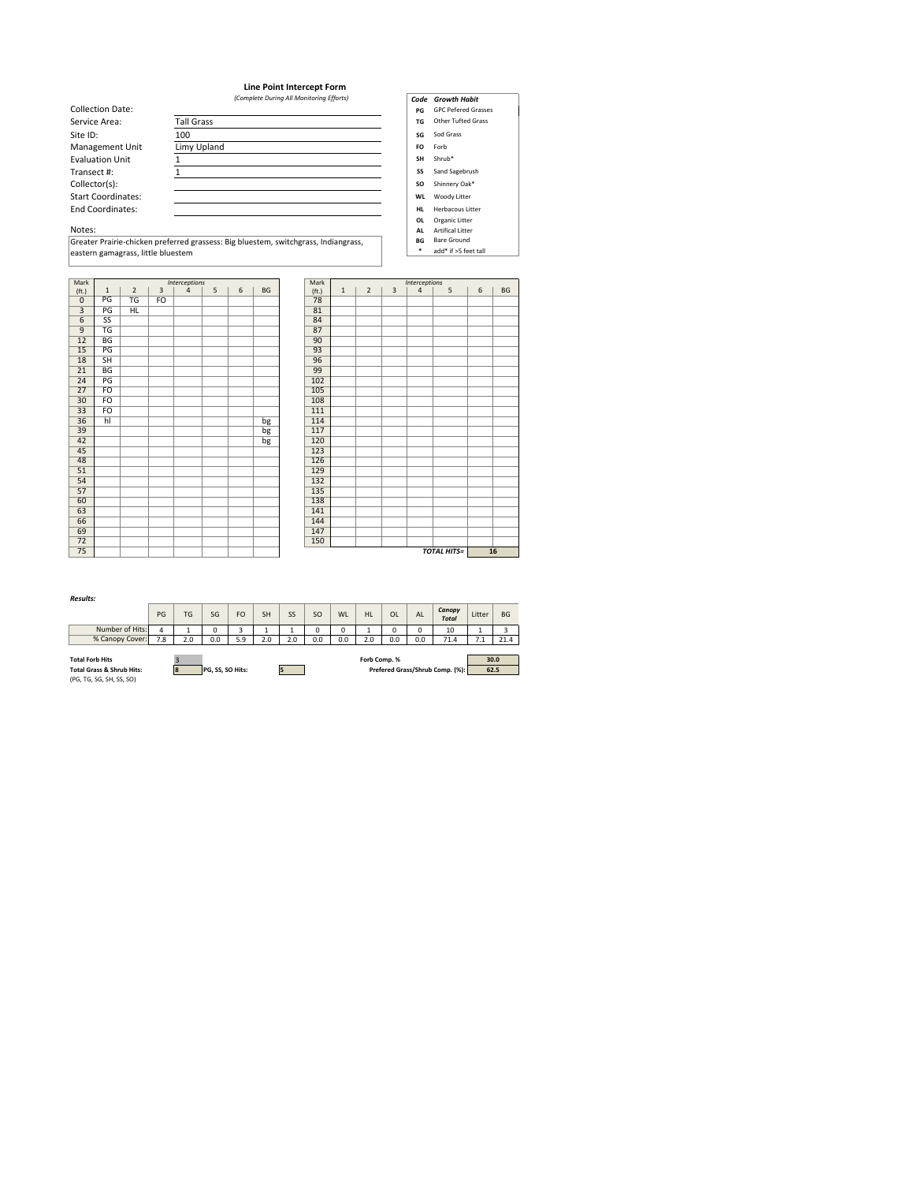#### *(Complete During All Monitoring Efforts) Code Growth Habit* **Line Point Intercept Form**

**PG** GPC Pefered Grasses **TG** Other Tufted Grass **SG FO** Forb **SH** Shrub\* **SS** Sand Sagebrush **SO** Shinnery Oak\* **WL HL** Herbacous Litter **OL** Sod Grass Woody Litter Organic Litter Collection Date: Service Area: Site ID: Management Unit Evaluation Unit Transect #: Collector(s): Start Coordinates: End Coordinates: Tall Grass 100 Limy Upland 1 1

Notes: **AL** Greater Prairie‐chicken preferred grassess: Big bluestem, switchgrass, Indiangrass, eastern gamagrass, little bluestem

| Mark                      |                        |                        |    | <b>Interceptions</b> |   |   |    | Mark              |
|---------------------------|------------------------|------------------------|----|----------------------|---|---|----|-------------------|
| (f <sub>t</sub> )         | $\mathbf{1}$           | $\overline{2}$         | 3  | $\overline{4}$       | 5 | 6 | BG | (f <sub>t</sub> ) |
| $\overline{0}$            | PG                     | $\overline{\text{TS}}$ | FO |                      |   |   |    | 78                |
| $\overline{\overline{3}}$ | PG                     | HL                     |    |                      |   |   |    | 81                |
| $\overline{6}$            | $\overline{\text{SS}}$ |                        |    |                      |   |   |    | 84                |
| $\overline{9}$            | TG                     |                        |    |                      |   |   |    | 87                |
| 12                        | <b>BG</b>              |                        |    |                      |   |   |    | 90                |
| 15                        | PG                     |                        |    |                      |   |   |    | 93                |
| 18                        | SH                     |                        |    |                      |   |   |    | 96                |
| $\overline{21}$           | BG                     |                        |    |                      |   |   |    | 99                |
| $\overline{24}$           | PG                     |                        |    |                      |   |   |    | 102               |
| $\overline{27}$           | <b>FO</b>              |                        |    |                      |   |   |    | 105               |
| 30                        | F <sub>O</sub>         |                        |    |                      |   |   |    | 108               |
| $\overline{33}$           | <b>FO</b>              |                        |    |                      |   |   |    | 111               |
| 36                        | $h\bar{h}$             |                        |    |                      |   |   | bg | 114               |
| 39                        |                        |                        |    |                      |   |   | bg | 117               |
| 42                        |                        |                        |    |                      |   |   | bg | 120               |
| 45                        |                        |                        |    |                      |   |   |    | 123               |
| 48                        |                        |                        |    |                      |   |   |    | 126               |
| 51                        |                        |                        |    |                      |   |   |    | 129               |
| 54                        |                        |                        |    |                      |   |   |    | 132               |
| 57                        |                        |                        |    |                      |   |   |    | 135               |
| 60                        |                        |                        |    |                      |   |   |    | 138               |
| 63                        |                        |                        |    |                      |   |   |    | 141               |
| 66                        |                        |                        |    |                      |   |   |    | 144               |
| 69                        |                        |                        |    |                      |   |   |    | 147               |
| $\overline{72}$           |                        |                        |    |                      |   |   |    | 150               |
| $\overline{75}$           |                        |                        |    |                      |   |   |    |                   |

|                         |                        |    | Interceptions  |   |   |    |
|-------------------------|------------------------|----|----------------|---|---|----|
| Ğ                       | $\overline{2}$         | 3  | $\overline{4}$ | 5 | 6 | BG |
|                         | $\overline{\text{TS}}$ | FO |                |   |   |    |
| ā                       | H <sub>L</sub>         |    |                |   |   |    |
| $\overline{\mathsf{s}}$ |                        |    |                |   |   |    |
| ัร                      |                        |    |                |   |   |    |
| 3G                      |                        |    |                |   |   |    |
| ā                       |                        |    |                |   |   |    |
| $\overline{H}$          |                        |    |                |   |   |    |
| 3G                      |                        |    |                |   |   |    |
| ā                       |                        |    |                |   |   |    |
| ō                       |                        |    |                |   |   |    |
| ō                       |                        |    |                |   |   |    |
| ō<br>'nĪ                |                        |    |                |   |   |    |
|                         |                        |    |                |   |   | bg |
|                         |                        |    |                |   |   | bg |
|                         |                        |    |                |   |   | bg |
|                         |                        |    |                |   |   |    |
|                         |                        |    |                |   |   |    |
|                         |                        |    |                |   |   |    |
|                         |                        |    |                |   |   |    |
|                         |                        |    |                |   |   |    |
|                         |                        |    |                |   |   |    |
|                         |                        |    |                |   |   |    |
|                         |                        |    |                |   |   |    |
|                         |                        |    |                |   |   |    |
|                         |                        |    |                |   |   |    |
|                         |                        |    |                |   |   |    |

**BG**<br>**BG**<br>\*

**\*** add\* if >5 feet tall

Artifical Litter Bare Ground

**16** *TOTAL HITS=*

|                                                                                            | PG  | TG       | SG               | FO  | <b>SH</b> | SS  | <b>SO</b> | <b>WL</b> | <b>HL</b>    | <b>OL</b> | <b>AL</b> | Canopy<br><b>Total</b>          | Litter | <b>BG</b> |
|--------------------------------------------------------------------------------------------|-----|----------|------------------|-----|-----------|-----|-----------|-----------|--------------|-----------|-----------|---------------------------------|--------|-----------|
| Number of Hits:                                                                            | 4   |          | 0                | 3   |           |     |           | 0         |              | 0         | 0         | 10                              |        |           |
| % Canopy Cover:                                                                            | 7.8 | 2.0      | 0.0              | 5.9 | 2.0       | 2.0 | 0.0       | 0.0       | 2.0          | 0.0       | 0.0       | 71.4                            | 7.1    | 21.4      |
| <b>Total Forb Hits</b><br><b>Total Grass &amp; Shrub Hits:</b><br>(PG, TG, SG, SH, SS, SO) |     | <b>R</b> | PG, SS, SO Hits: |     |           |     |           |           | Forb Comp. % |           |           | Prefered Grass/Shrub Comp. (%): | 62.5   | 30.0      |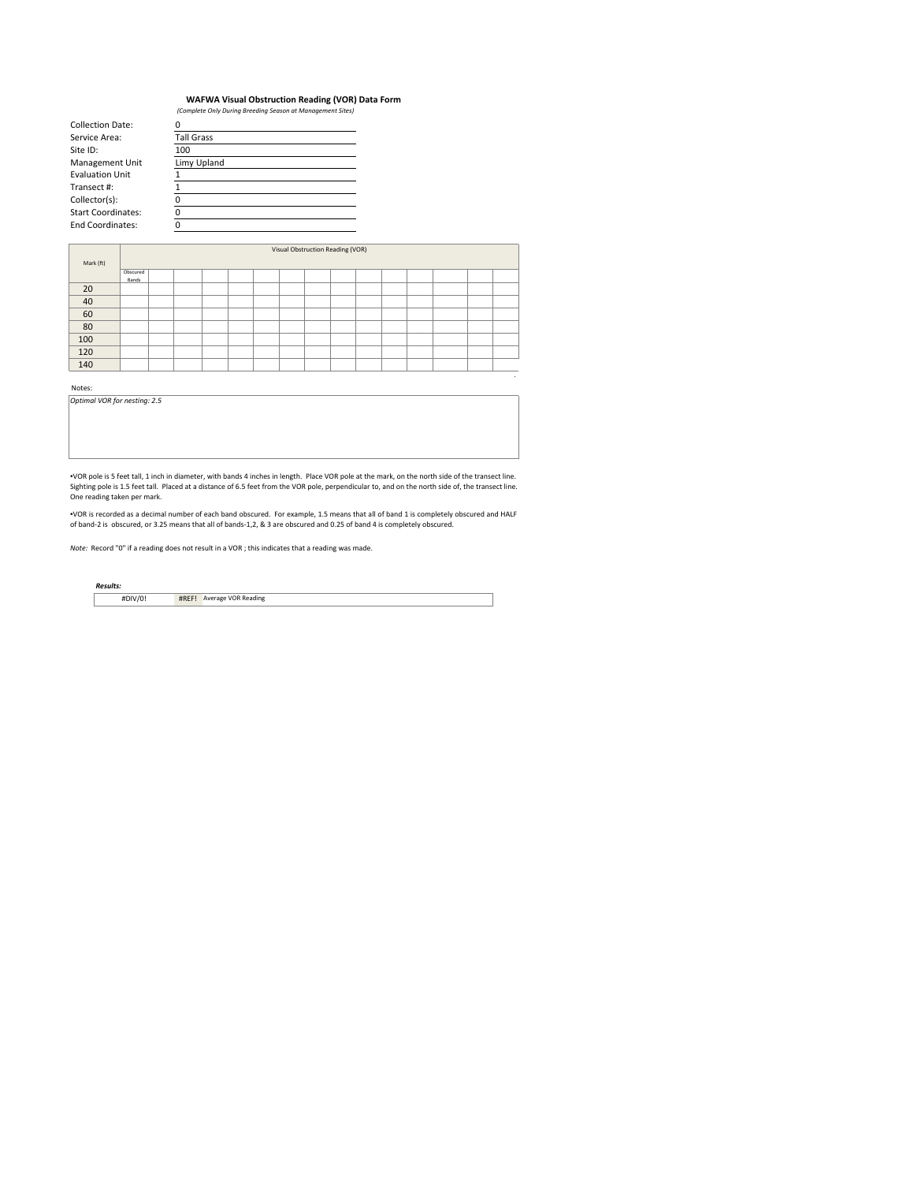# **WAFWA Visual Obstruction Reading (VOR) Data Form**

|                           | (Complete Only During Breeding Season at Manggement Sites) |
|---------------------------|------------------------------------------------------------|
| <b>Collection Date:</b>   |                                                            |
| Service Area:             | <b>Tall Grass</b>                                          |
| Site ID:                  | 100                                                        |
| Management Unit           | Limy Upland                                                |
| <b>Evaluation Unit</b>    |                                                            |
| Transect #:               |                                                            |
| Collector(s):             |                                                            |
| <b>Start Coordinates:</b> |                                                            |
| <b>End Coordinates:</b>   |                                                            |

|           | Visual Obstruction Reading (VOR) |  |  |  |  |  |  |  |  |  |  |  |  |  |
|-----------|----------------------------------|--|--|--|--|--|--|--|--|--|--|--|--|--|
| Mark (ft) |                                  |  |  |  |  |  |  |  |  |  |  |  |  |  |
|           | Obscured                         |  |  |  |  |  |  |  |  |  |  |  |  |  |
|           | Bands                            |  |  |  |  |  |  |  |  |  |  |  |  |  |
| 20        |                                  |  |  |  |  |  |  |  |  |  |  |  |  |  |
| 40        |                                  |  |  |  |  |  |  |  |  |  |  |  |  |  |
| 60        |                                  |  |  |  |  |  |  |  |  |  |  |  |  |  |
| 80        |                                  |  |  |  |  |  |  |  |  |  |  |  |  |  |
| 100       |                                  |  |  |  |  |  |  |  |  |  |  |  |  |  |
| 120       |                                  |  |  |  |  |  |  |  |  |  |  |  |  |  |
| 140       |                                  |  |  |  |  |  |  |  |  |  |  |  |  |  |

*.*

Notes:

*Optimal VOR for nesting: 2.5*

•VOR pole is 5 feet tall, 1 inch in diameter, with bands 4 inches in length. Place VOR pole at the mark, on the north side of the transect line.<br>Sighting pole is 1.5 feet tall. Placed at a distance of 6.5 feet from the VOR

•VOR is recorded as a decimal number of each band obscured. For example, 1.5 means that all of band 1 is completely obscured and HALF<br>of band-2 is obscured, or 3.25 means that all of bands-1,2, & 3 are obscured and 0.25 o

*Note:* Record "0" if a reading does not result in a VOR ; this indicates that a reading was made.

| 'esults: |       |                            |
|----------|-------|----------------------------|
| #DIV/0!  | #REF! | <b>Average VOR Reading</b> |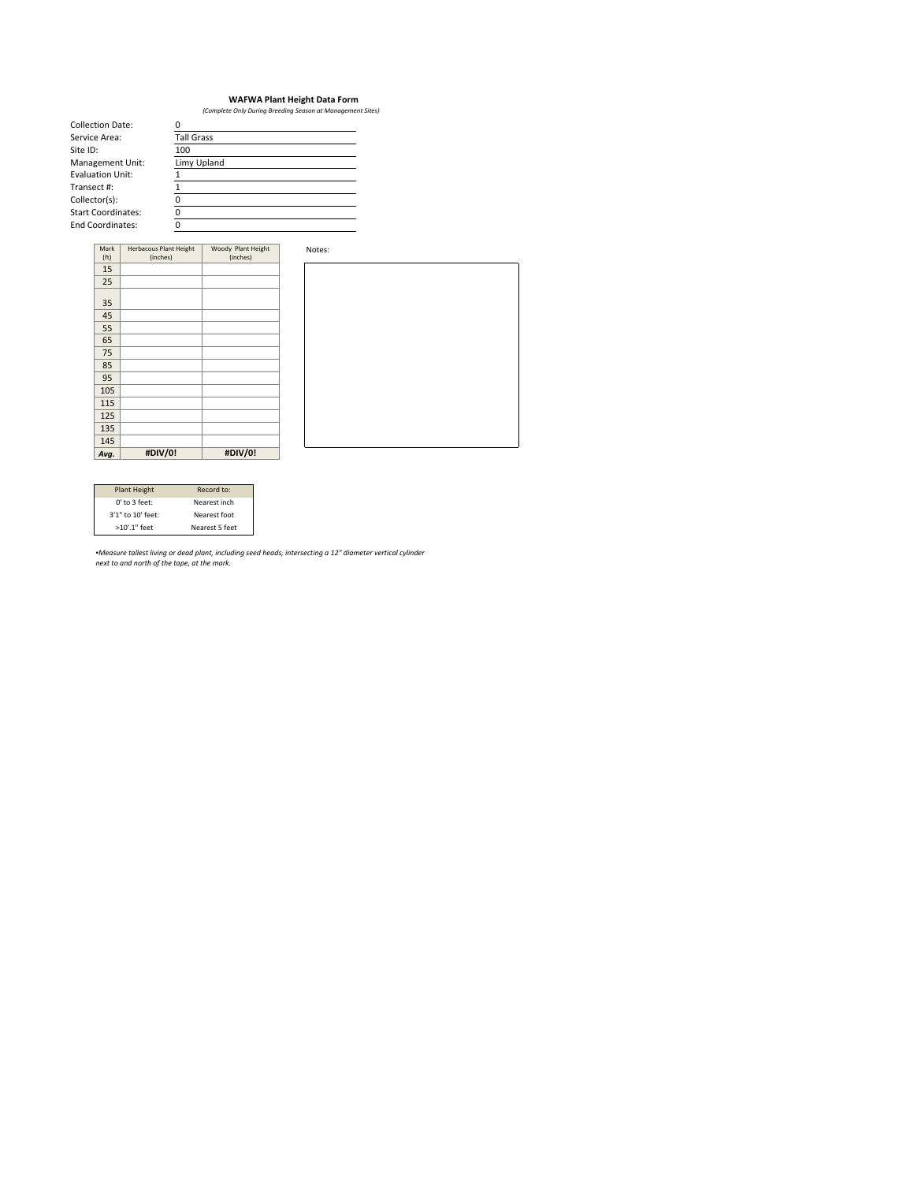# **WAFWA Plant Height Data Form**

|  |  | (Complete Only During Breeding Season at Management Sites) |
|--|--|------------------------------------------------------------|
|  |  |                                                            |

| Collection Date:          |                   |
|---------------------------|-------------------|
| Service Area:             | <b>Tall Grass</b> |
| Site ID:                  | 100               |
| Management Unit:          | Limy Upland       |
| <b>Evaluation Unit:</b>   |                   |
| Transect #:               |                   |
| Collector(s):             |                   |
| <b>Start Coordinates:</b> |                   |
| <b>End Coordinates:</b>   |                   |

| Mark              | <b>Herbacous Plant Height</b> | Woody Plant Height |
|-------------------|-------------------------------|--------------------|
| (f <sub>t</sub> ) | (inches)                      | (inches)           |
| 15                |                               |                    |
| 25                |                               |                    |
|                   |                               |                    |
| 35                |                               |                    |
| 45                |                               |                    |
| 55                |                               |                    |
| 65                |                               |                    |
| 75                |                               |                    |
| 85                |                               |                    |
| 95                |                               |                    |
| 105               |                               |                    |
| 115               |                               |                    |
| 125               |                               |                    |
| 135               |                               |                    |
| 145               |                               |                    |
| Avg.              | #DIV/0!                       | #DIV/0!            |

| <b>Plant Height</b> | Record to:     |
|---------------------|----------------|
| $0'$ to $3$ feet:   | Nearest inch   |
| 3'1" to 10' feet:   | Nearest foot   |
| >10'.1" feet        | Nearest 5 feet |

•Measure tallest living or dead plant, including seed heads, intersecting a 12" diameter vertical cylinder<br>next to and north of the tape, at the mark.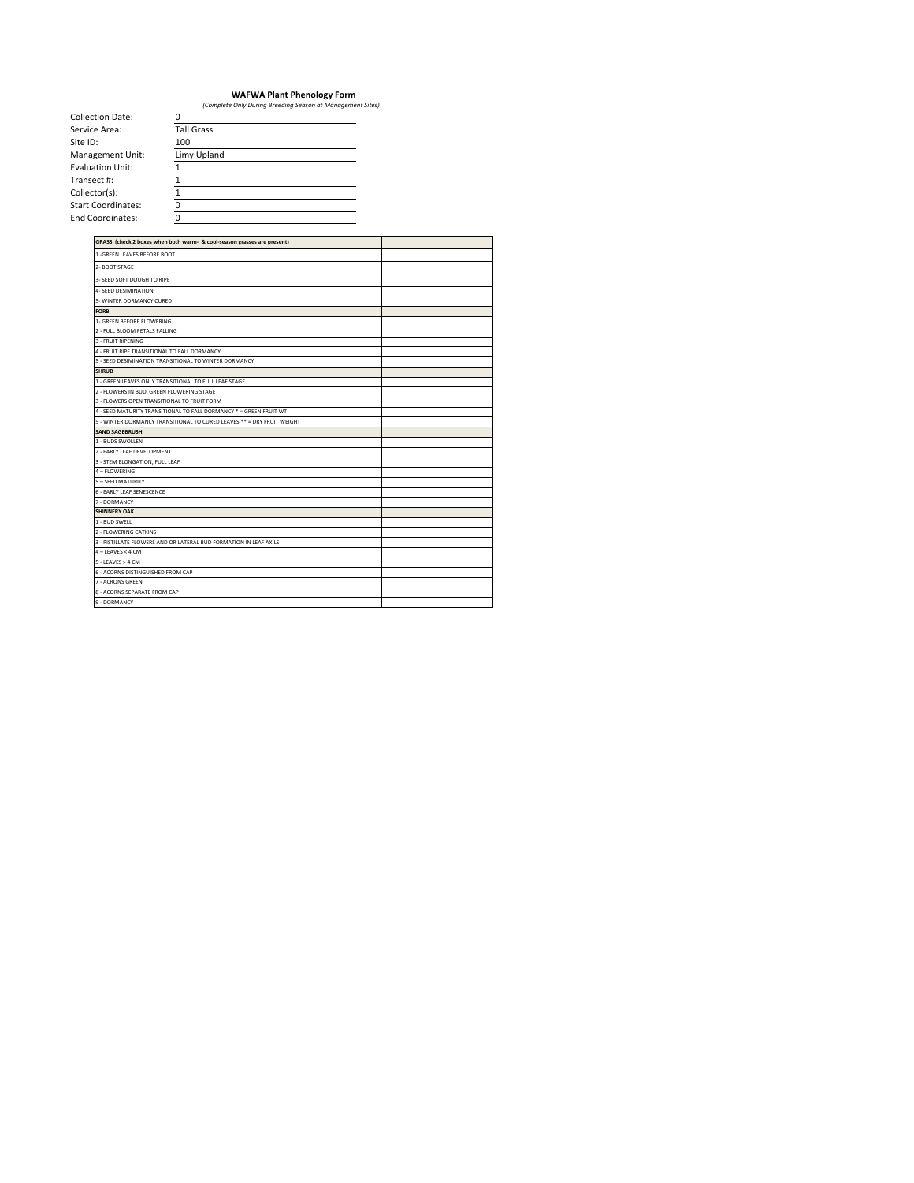### **WAFWA Plant Phenology Form**

|  |  | (Complete Only During Breeding Season at Management Sites) |  |
|--|--|------------------------------------------------------------|--|
|  |  |                                                            |  |
|  |  |                                                            |  |

| <b>Collection Date:</b>   |                   |
|---------------------------|-------------------|
| Service Area:             | <b>Tall Grass</b> |
| Site ID:                  | 100               |
| Management Unit:          | Limy Upland       |
| <b>Evaluation Unit:</b>   |                   |
| Transect #:               |                   |
| Collector(s):             |                   |
| <b>Start Coordinates:</b> |                   |
| <b>End Coordinates:</b>   |                   |
|                           |                   |

| GRASS (check 2 boxes when both warm- & cool-season grasses are present) |  |
|-------------------------------------------------------------------------|--|
| 1 - GREEN LEAVES BEFORE BOOT                                            |  |
| 2- BOOT STAGE                                                           |  |
| 3- SEED SOFT DOUGH TO RIPE                                              |  |
| 4- SEED DESIMINATION                                                    |  |
| 5- WINTER DORMANCY CURED                                                |  |
| <b>FORB</b>                                                             |  |
| 1- GREEN BEFORE FLOWERING                                               |  |
| 2 - FULL BLOOM PETALS FALLING                                           |  |
| 3 - FRUIT RIPENING                                                      |  |
| 4 - FRUIT RIPE TRANSITIONAL TO FALL DORMANCY                            |  |
| 5 - SEED DESIMINATION TRANSITIONAL TO WINTER DORMANCY                   |  |
| <b>SHRUB</b>                                                            |  |
| 1 - GREEN LEAVES ONLY TRANSITIONAL TO FULL LEAF STAGE                   |  |
| 2 - FLOWERS IN BUD, GREEN FLOWERING STAGE                               |  |
| 3 - FLOWERS OPEN TRANSITIONAL TO FRUIT FORM                             |  |
| 4 - SEED MATURITY TRANSITIONAL TO FALL DORMANCY * = GREEN FRUIT WT      |  |
| 5 - WINTER DORMANCY TRANSITIONAL TO CURED LEAVES ** = DRY FRUIT WEIGHT  |  |
| <b>SAND SAGEBRUSH</b>                                                   |  |
| 1 - BUDS SWOLLEN                                                        |  |
| 2 - EARLY LEAF DEVELOPMENT                                              |  |
| 3 - STEM ELONGATION, FULL LEAF                                          |  |
| $4 - FIOWFRING$                                                         |  |
| 5 - SEED MATURITY                                                       |  |
| <b>6 - EARLY LEAF SENESCENCE</b>                                        |  |
| 7 - DORMANCY                                                            |  |
| <b>SHINNERY OAK</b>                                                     |  |
| 1 - BUD SWELL                                                           |  |
| 2 - FLOWERING CATKINS                                                   |  |
| 3 - PISTILLATE FLOWERS AND OR LATERAL BUD FORMATION IN LEAF AXILS       |  |
| $4 - LEAVES < 4 CM$                                                     |  |
| 5 - LEAVES > 4 CM                                                       |  |
| 6 - ACORNS DISTINGUISHED FROM CAP                                       |  |
| 7 - ACRONS GREEN                                                        |  |
| 8 - ACORNS SEPARATE FROM CAP                                            |  |
| 9 - DORMANCY                                                            |  |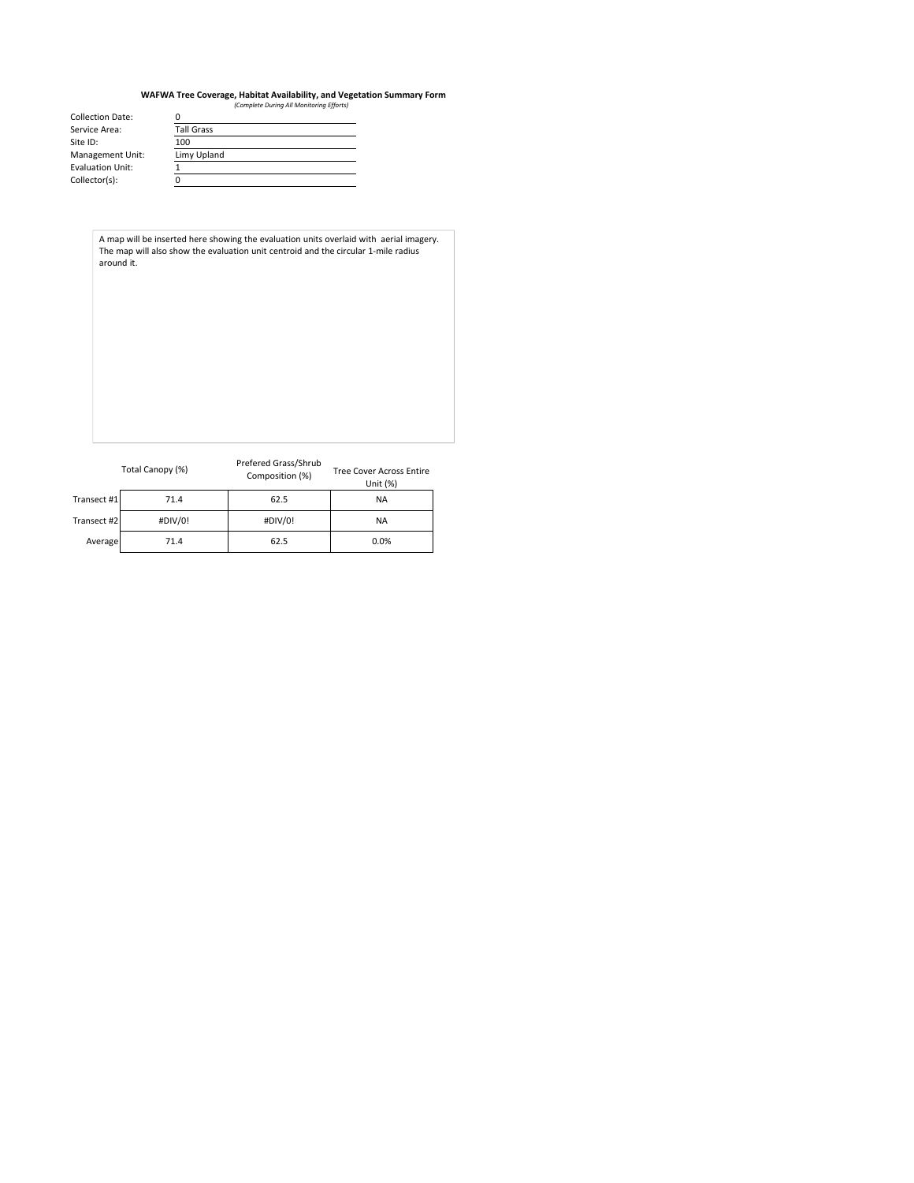# *(Complete During All Monitoring Efforts)* **WAFWA Tree Coverage, Habitat Availability, and Vegetation Summary Form**

| <b>Collection Date:</b> |                   |
|-------------------------|-------------------|
| Service Area:           | <b>Tall Grass</b> |
| Site ID:                | 100               |
| Management Unit:        | Limy Upland       |
| <b>Evaluation Unit:</b> |                   |
| Collector(s):           |                   |

A map will be inserted here showing the evaluation units overlaid with aerial imagery. The map will also show the evaluation unit centroid and the circular 1‐mile radius around it.

|             | Total Canopy (%) | Prefered Grass/Shrub<br>Composition (%) | Tree Cover Across Entire<br>Unit $(\%)$ |
|-------------|------------------|-----------------------------------------|-----------------------------------------|
| Transect #1 | 71.4             | 62.5                                    | <b>NA</b>                               |
| Transect #2 | #DIV/0!          | #DIV/0!                                 | <b>NA</b>                               |
| Average     | 71.4             | 62.5                                    | 0.0%                                    |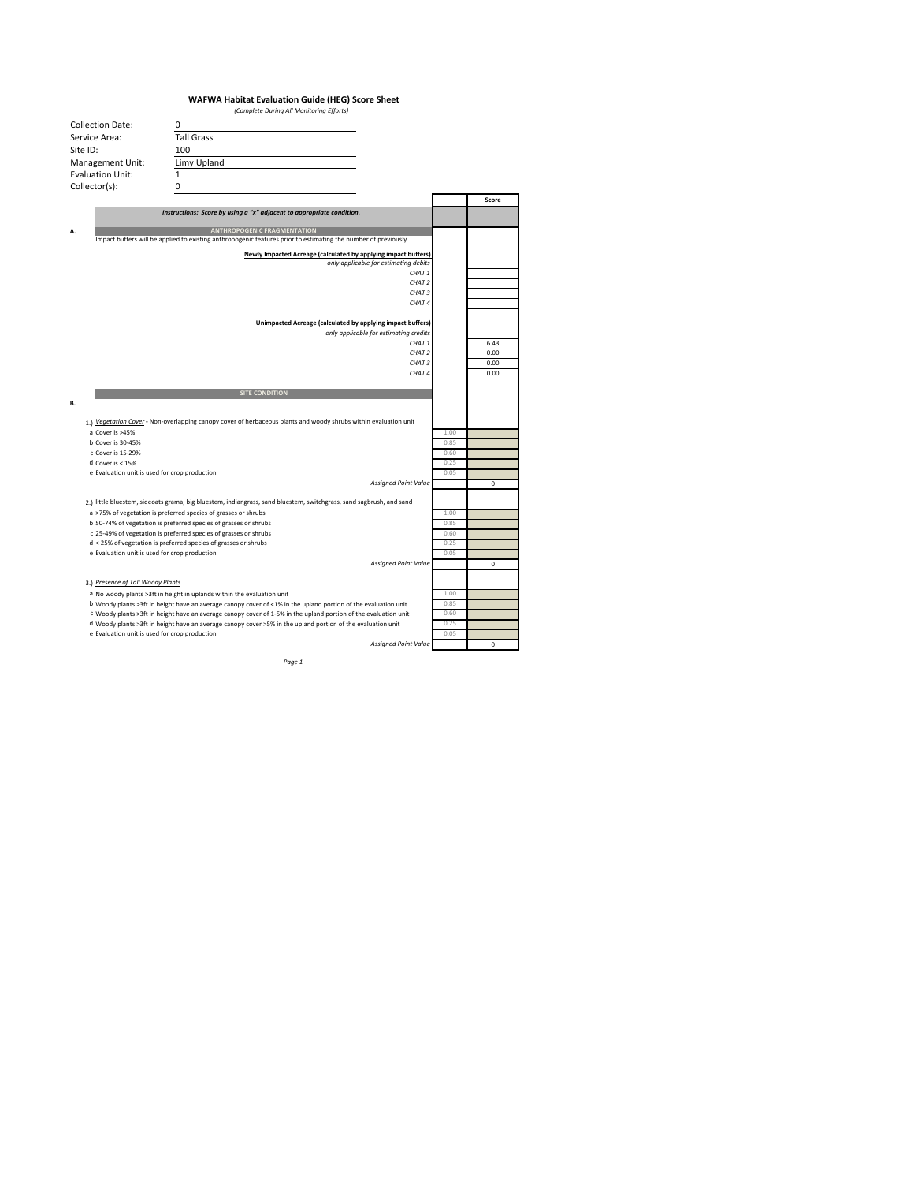|                                               | <b>WAFWA Habitat Evaluation Guide (HEG) Score Sheet</b><br>(Complete During All Monitoring Efforts)                                                                                      |              |             |
|-----------------------------------------------|------------------------------------------------------------------------------------------------------------------------------------------------------------------------------------------|--------------|-------------|
|                                               |                                                                                                                                                                                          |              |             |
| <b>Collection Date:</b>                       | 0                                                                                                                                                                                        |              |             |
| Service Area:                                 | <b>Tall Grass</b>                                                                                                                                                                        |              |             |
| Site ID:                                      | 100                                                                                                                                                                                      |              |             |
| Management Unit:                              | Limy Upland                                                                                                                                                                              |              |             |
| <b>Evaluation Unit:</b>                       | 1                                                                                                                                                                                        |              |             |
| Collector(s):                                 | $\overline{0}$                                                                                                                                                                           |              |             |
|                                               |                                                                                                                                                                                          |              | Score       |
|                                               | Instructions: Score by using a "x" adjacent to appropriate condition.                                                                                                                    |              |             |
| Α.                                            | <b>ANTHROPOGENIC FRAGMENTATION</b><br>Impact buffers will be applied to existing anthropogenic features prior to estimating the number of previously                                     |              |             |
|                                               |                                                                                                                                                                                          |              |             |
|                                               | Newly Impacted Acreage (calculated by applying impact buffers)<br>only applicable for estimating debits                                                                                  |              |             |
|                                               | CHAT <sub>1</sub>                                                                                                                                                                        |              |             |
|                                               | CHAT <sub>2</sub>                                                                                                                                                                        |              |             |
|                                               | CHAT <sub>3</sub><br>CHAT4                                                                                                                                                               |              |             |
|                                               |                                                                                                                                                                                          |              |             |
|                                               | Unimpacted Acreage (calculated by applying impact buffers)                                                                                                                               |              |             |
|                                               | only applicable for estimating credits                                                                                                                                                   |              |             |
|                                               | CHAT <sub>1</sub>                                                                                                                                                                        |              | 6.43        |
|                                               | CHAT <sub>2</sub>                                                                                                                                                                        |              | 0.00        |
|                                               | CHAT <sub>3</sub>                                                                                                                                                                        |              | 0.00        |
|                                               | CHAT4                                                                                                                                                                                    |              | 0.00        |
|                                               | <b>SITE CONDITION</b>                                                                                                                                                                    |              |             |
| В.                                            |                                                                                                                                                                                          |              |             |
|                                               |                                                                                                                                                                                          |              |             |
|                                               | 1.) Vegetation Cover - Non-overlapping canopy cover of herbaceous plants and woody shrubs within evaluation unit                                                                         |              |             |
| a Cover is >45%                               |                                                                                                                                                                                          | 1.00         |             |
| b Cover is 30-45%<br>c Cover is 15-29%        |                                                                                                                                                                                          | 0.85<br>0.60 |             |
| d Cover is $< 15\%$                           |                                                                                                                                                                                          | 0.25         |             |
| e Evaluation unit is used for crop production |                                                                                                                                                                                          | 0.05         |             |
|                                               | <b>Assigned Point Value</b>                                                                                                                                                              |              | $\mathbf 0$ |
|                                               | 2.) little bluestem, sideoats grama, big bluestem, indiangrass, sand bluestem, switchgrass, sand sagbrush, and sand                                                                      |              |             |
|                                               | a >75% of vegetation is preferred species of grasses or shrubs                                                                                                                           | 1.00         |             |
|                                               | b 50-74% of vegetation is preferred species of grasses or shrubs                                                                                                                         | 0.85         |             |
|                                               | c 25-49% of vegetation is preferred species of grasses or shrubs                                                                                                                         | 0.60         |             |
|                                               | d < 25% of vegetation is preferred species of grasses or shrubs                                                                                                                          | 0.25         |             |
| e Evaluation unit is used for crop production |                                                                                                                                                                                          | 0.05         |             |
|                                               | <b>Assigned Point Value</b>                                                                                                                                                              |              | $\mathbf 0$ |
| 3.) Presence of Tall Woody Plants             |                                                                                                                                                                                          |              |             |
|                                               |                                                                                                                                                                                          | 1.00         |             |
|                                               | a No woody plants >3ft in height in uplands within the evaluation unit<br>b Woody plants >3ft in height have an average canopy cover of <1% in the upland portion of the evaluation unit | 0.85         |             |
|                                               | c Woody plants >3ft in height have an average canopy cover of 1-5% in the upland portion of the evaluation unit                                                                          | 0.60         |             |
|                                               | d Woody plants >3ft in height have an average canopy cover >5% in the upland portion of the evaluation unit                                                                              | 0.25         |             |
| e Evaluation unit is used for crop production |                                                                                                                                                                                          | 0.05         |             |
|                                               | <b>Assigned Point Value</b>                                                                                                                                                              |              | $\mathbf 0$ |

*Page 1*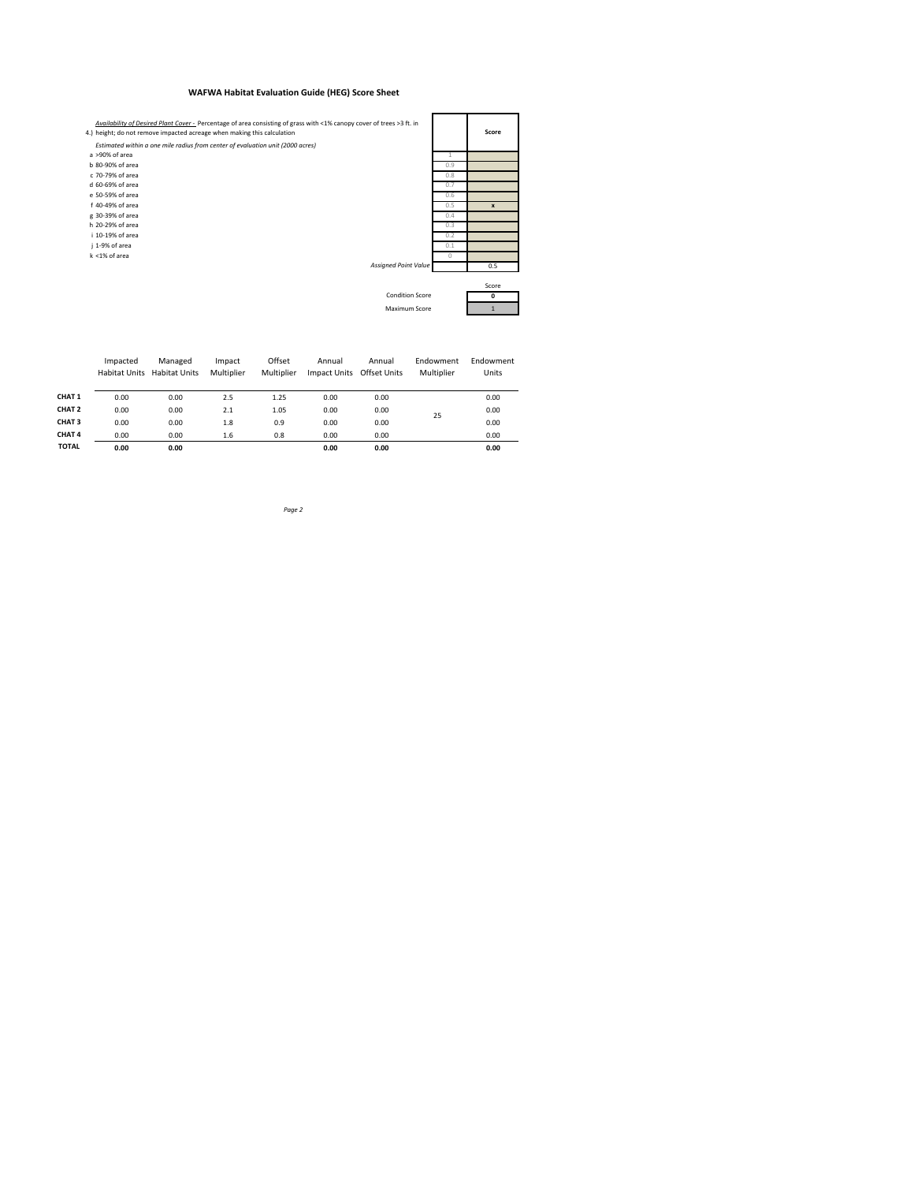#### **WAFWA Habitat Evaluation Guide (HEG) Score Sheet**



|                   | Impacted | Managed<br><b>Habitat Units Habitat Units</b> | Impact<br>Multiplier | Offset<br>Multiplier | Annual<br>Impact Units Offset Units | Annual | Endowment<br>Multiplier | Endowment<br>Units |
|-------------------|----------|-----------------------------------------------|----------------------|----------------------|-------------------------------------|--------|-------------------------|--------------------|
| CHAT <sub>1</sub> | 0.00     | 0.00                                          | 2.5                  | 1.25                 | 0.00                                | 0.00   |                         | 0.00               |
| CHAT <sub>2</sub> | 0.00     | 0.00                                          | 2.1                  | 1.05                 | 0.00                                | 0.00   | 25                      | 0.00               |
| CHAT <sub>3</sub> | 0.00     | 0.00                                          | 1.8                  | 0.9                  | 0.00                                | 0.00   |                         | 0.00               |
| CHAT <sub>4</sub> | 0.00     | 0.00                                          | 1.6                  | 0.8                  | 0.00                                | 0.00   |                         | 0.00               |
| <b>TOTAL</b>      | 0.00     | 0.00                                          |                      |                      | 0.00                                | 0.00   |                         | 0.00               |

*Page 2*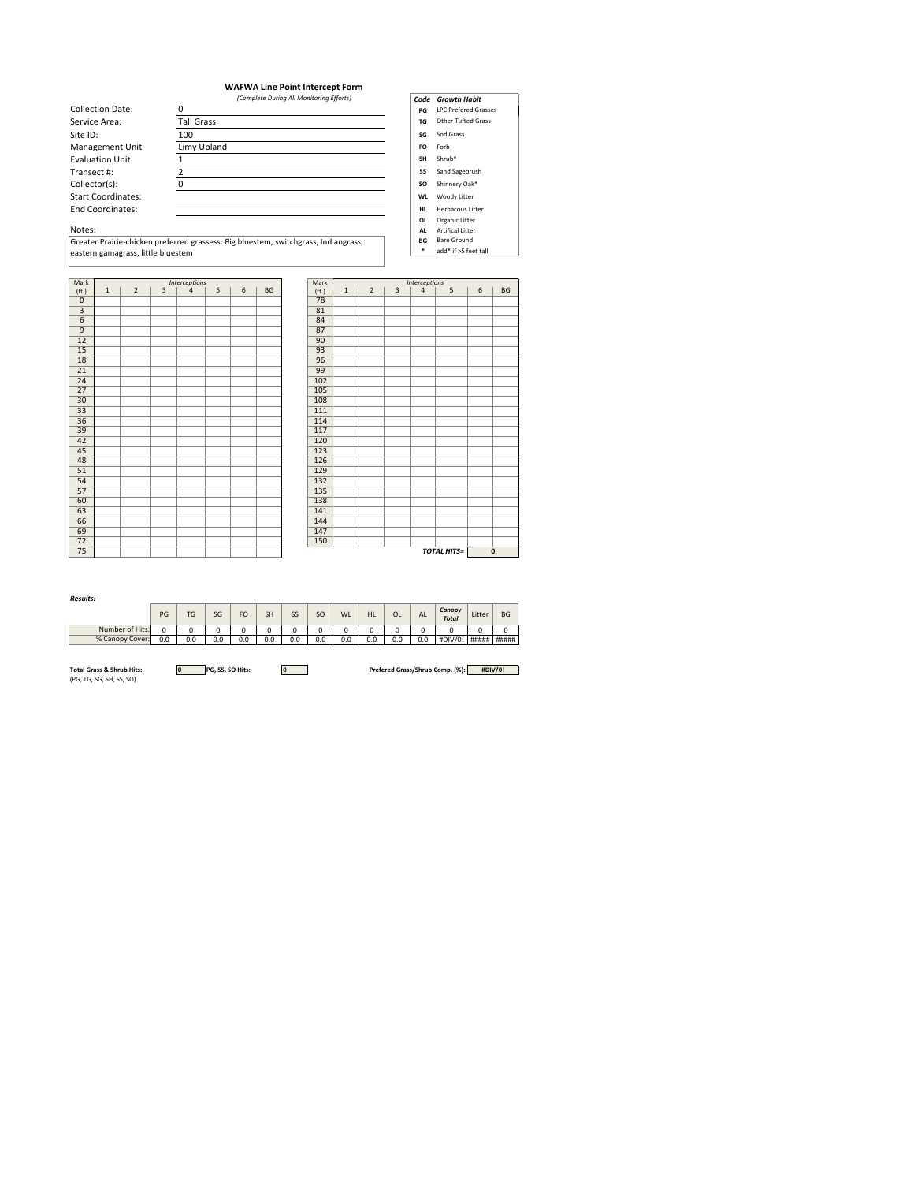### **WAFWA Line Point Intercept Form**

|                           | (Complete During All Monitoring Efforts)                                            | Code      | <b>Growth Habit</b>         |
|---------------------------|-------------------------------------------------------------------------------------|-----------|-----------------------------|
| <b>Collection Date:</b>   | n                                                                                   | PG        | <b>LPC Prefered Grasses</b> |
| Service Area:             | <b>Tall Grass</b>                                                                   | <b>TG</b> | <b>Other Tufted Grass</b>   |
| Site ID:                  | 100                                                                                 | SG        | Sod Grass                   |
| <b>Management Unit</b>    | Limy Upland                                                                         | <b>FO</b> | Forb                        |
| <b>Evaluation Unit</b>    |                                                                                     | <b>SH</b> | Shrub*                      |
| Transect #:               |                                                                                     | SS        | Sand Sagebrush              |
| Collector(s):             |                                                                                     | SO        | Shinnery Oak*               |
| <b>Start Coordinates:</b> |                                                                                     | <b>WL</b> | Woody Litter                |
| <b>End Coordinates:</b>   |                                                                                     | HL        | Herbacous Litter            |
|                           |                                                                                     | <b>OL</b> | Organic Litter              |
| Notes:                    |                                                                                     | AL.       | Artifical Litter            |
|                           | Greater Prairie-chicken preferred grassess: Big bluestem, switchgrass, Indiangrass, | <b>BG</b> | <b>Bare Ground</b>          |

Notes: **AL** Greater Prairie‐chicken preferred grassess: Big bluestem, switchgrass, Indiangrass, eastern gamagrass, little bluestem

| Mark              |             | Interceptions  |   |                |   |   |           |  |                   |  |  |  |
|-------------------|-------------|----------------|---|----------------|---|---|-----------|--|-------------------|--|--|--|
| (f <sub>t</sub> ) | $\mathbf 1$ | $\overline{2}$ | 3 | $\overline{4}$ | 5 | 6 | <b>BG</b> |  | (f <sub>t</sub> ) |  |  |  |
| $\overline{0}$    |             |                |   |                |   |   |           |  | 78                |  |  |  |
|                   |             |                |   |                |   |   |           |  | 81                |  |  |  |
| $\overline{6}$    |             |                |   |                |   |   |           |  | 84                |  |  |  |
| $\overline{9}$    |             |                |   |                |   |   |           |  | 87                |  |  |  |
| 12                |             |                |   |                |   |   |           |  | 90                |  |  |  |
| 15                |             |                |   |                |   |   |           |  | 93                |  |  |  |
| 18                |             |                |   |                |   |   |           |  | 96                |  |  |  |
| 21                |             |                |   |                |   |   |           |  | 99                |  |  |  |
| 24                |             |                |   |                |   |   |           |  | 102               |  |  |  |
| $\overline{27}$   |             |                |   |                |   |   |           |  | 105               |  |  |  |
| $\overline{30}$   |             |                |   |                |   |   |           |  | 108               |  |  |  |
| $\overline{33}$   |             |                |   |                |   |   |           |  | 111               |  |  |  |
| $\overline{36}$   |             |                |   |                |   |   |           |  | 114               |  |  |  |
| 39                |             |                |   |                |   |   |           |  | 117               |  |  |  |
| 42                |             |                |   |                |   |   |           |  | 120               |  |  |  |
| 45                |             |                |   |                |   |   |           |  | 123               |  |  |  |
| 48                |             |                |   |                |   |   |           |  | 126               |  |  |  |
| 51                |             |                |   |                |   |   |           |  | 129               |  |  |  |
| 54                |             |                |   |                |   |   |           |  | 132               |  |  |  |
| 57                |             |                |   |                |   |   |           |  | 135               |  |  |  |
| 60                |             |                |   |                |   |   |           |  | 138               |  |  |  |
| 63                |             |                |   |                |   |   |           |  | 141               |  |  |  |
| 66                |             |                |   |                |   |   |           |  | 144               |  |  |  |
| 69                |             |                |   |                |   |   |           |  | 147               |  |  |  |
| $\overline{72}$   |             |                |   |                |   |   |           |  | 150               |  |  |  |
| $\overline{75}$   |             |                |   |                |   |   |           |  |                   |  |  |  |

|   | <b>Interceptions</b> |   |                |   |   |    |                   | Mark  |                |                         | Interceptions  |                    |   |
|---|----------------------|---|----------------|---|---|----|-------------------|-------|----------------|-------------------------|----------------|--------------------|---|
| 1 | $\overline{2}$       | 3 | $\overline{4}$ | 5 | 6 | BG | (f <sub>t</sub> ) | $1\,$ | $\overline{2}$ | $\overline{\mathbf{3}}$ | $\overline{4}$ | 5                  | 6 |
|   |                      |   |                |   |   |    | 78                |       |                |                         |                |                    |   |
|   |                      |   |                |   |   |    | 81                |       |                |                         |                |                    |   |
|   |                      |   |                |   |   |    | 84                |       |                |                         |                |                    |   |
|   |                      |   |                |   |   |    | 87                |       |                |                         |                |                    |   |
|   |                      |   |                |   |   |    | 90                |       |                |                         |                |                    |   |
|   |                      |   |                |   |   |    | 93                |       |                |                         |                |                    |   |
|   |                      |   |                |   |   |    | 96                |       |                |                         |                |                    |   |
|   |                      |   |                |   |   |    | 99                |       |                |                         |                |                    |   |
|   |                      |   |                |   |   |    | 102               |       |                |                         |                |                    |   |
|   |                      |   |                |   |   |    | 105               |       |                |                         |                |                    |   |
|   |                      |   |                |   |   |    | 108               |       |                |                         |                |                    |   |
|   |                      |   |                |   |   |    | 111               |       |                |                         |                |                    |   |
|   |                      |   |                |   |   |    | 114               |       |                |                         |                |                    |   |
|   |                      |   |                |   |   |    | 117               |       |                |                         |                |                    |   |
|   |                      |   |                |   |   |    | 120               |       |                |                         |                |                    |   |
|   |                      |   |                |   |   |    | 123               |       |                |                         |                |                    |   |
|   |                      |   |                |   |   |    | 126               |       |                |                         |                |                    |   |
|   |                      |   |                |   |   |    | 129               |       |                |                         |                |                    |   |
|   |                      |   |                |   |   |    | 132               |       |                |                         |                |                    |   |
|   |                      |   |                |   |   |    | 135               |       |                |                         |                |                    |   |
|   |                      |   |                |   |   |    | 138               |       |                |                         |                |                    |   |
|   |                      |   |                |   |   |    | 141               |       |                |                         |                |                    |   |
|   |                      |   |                |   |   |    | 144               |       |                |                         |                |                    |   |
|   |                      |   |                |   |   |    | 147               |       |                |                         |                |                    |   |
|   |                      |   |                |   |   |    | 150               |       |                |                         |                |                    |   |
|   |                      |   |                |   |   |    |                   |       |                |                         |                | <b>TOTAL HITS=</b> |   |

**BG \*** add\* if >5 feet tall

#### *Results:*

| ----------      |     |     |     |     |           |     |               |           |           |           |     |                        |        |           |
|-----------------|-----|-----|-----|-----|-----------|-----|---------------|-----------|-----------|-----------|-----|------------------------|--------|-----------|
|                 | PG  | TG  | SG  | FO  | <b>SH</b> | SS  | <sub>SO</sub> | <b>WL</b> | <b>HL</b> | <b>OL</b> | AL  | Canopy<br><b>Total</b> | Litter | <b>BG</b> |
| Number of Hits: | O   |     |     |     |           |     |               |           |           |           |     |                        |        |           |
| % Canopy Cover: | 0.0 | 0.0 | 0.0 | 0.0 | 0.0       | 0.0 | 0.0           | 0.0       | 0.0       | 0.0       | 0.0 | #DIV/0!                | #####  | #####     |

Total Grass & Shrub Hits:<br>(PG, TG, SG, SH, SS, SO)

**0 D PG, SS, SO Hits: 0** 

**Prefered Grass/Shrub Comp.** (%): #DIV/0!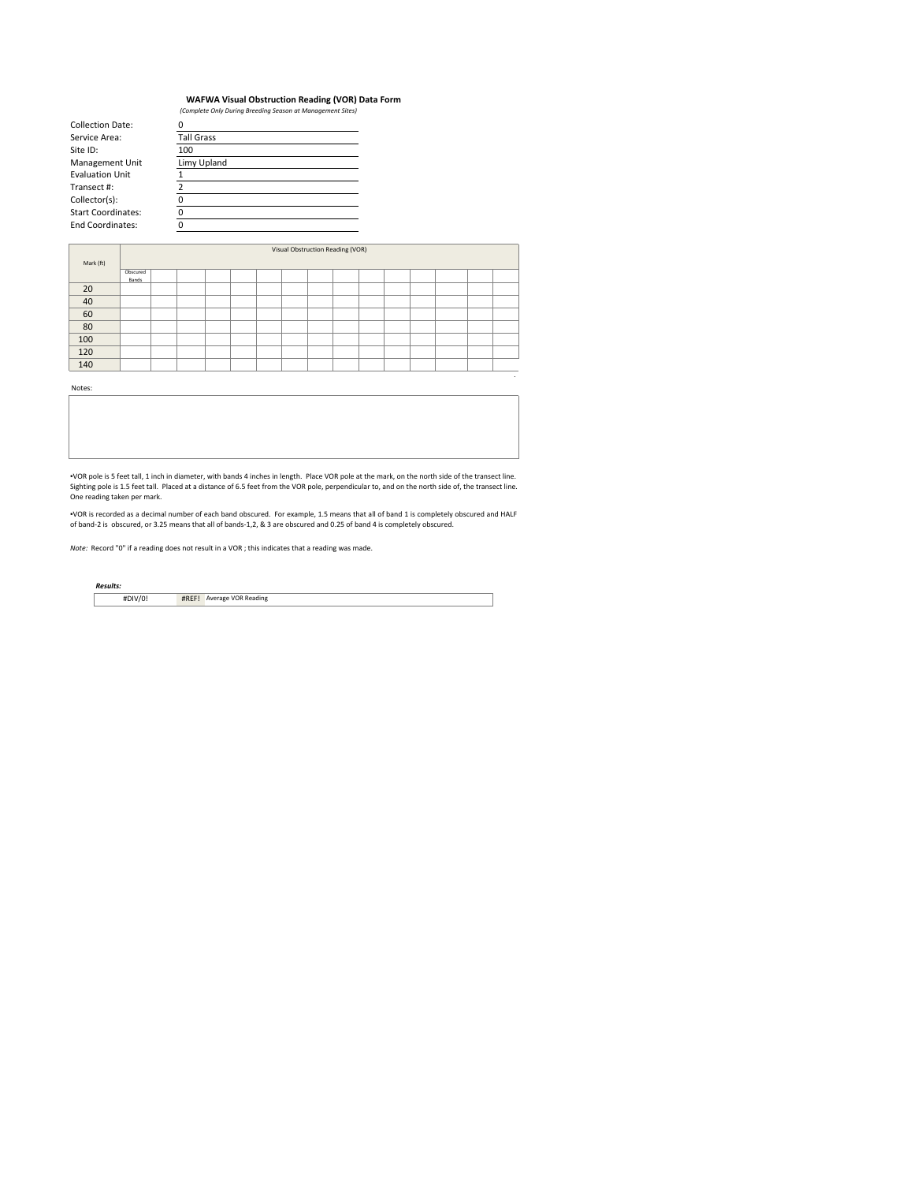#### *(Complete Only During Breeding Season at Management Sites)* **WAFWA Visual Obstruction Reading (VOR) Data Form**

| <b>Collection Date:</b>   |                   |
|---------------------------|-------------------|
| Service Area:             | <b>Tall Grass</b> |
| Site ID:                  | 100               |
| <b>Management Unit</b>    | Limy Upland       |
| <b>Evaluation Unit</b>    |                   |
| Transect #:               |                   |
| Collector(s):             |                   |
| <b>Start Coordinates:</b> |                   |
| <b>End Coordinates:</b>   |                   |

|           | Visual Obstruction Reading (VOR) |  |  |  |  |  |  |  |  |  |  |  |  |  |  |
|-----------|----------------------------------|--|--|--|--|--|--|--|--|--|--|--|--|--|--|
| Mark (ft) |                                  |  |  |  |  |  |  |  |  |  |  |  |  |  |  |
|           | Obscured                         |  |  |  |  |  |  |  |  |  |  |  |  |  |  |
| 20        | Bands                            |  |  |  |  |  |  |  |  |  |  |  |  |  |  |
|           |                                  |  |  |  |  |  |  |  |  |  |  |  |  |  |  |
| 40        |                                  |  |  |  |  |  |  |  |  |  |  |  |  |  |  |
| 60        |                                  |  |  |  |  |  |  |  |  |  |  |  |  |  |  |
| 80        |                                  |  |  |  |  |  |  |  |  |  |  |  |  |  |  |
| 100       |                                  |  |  |  |  |  |  |  |  |  |  |  |  |  |  |
| 120       |                                  |  |  |  |  |  |  |  |  |  |  |  |  |  |  |
| 140       |                                  |  |  |  |  |  |  |  |  |  |  |  |  |  |  |

Notes:

*.*

•VOR pole is 5 feet tall, 1 inch in diameter, with bands 4 inches in length. Place VOR pole at the mark, on the north side of the transect line.<br>Sighting pole is 1.5 feet tall. Placed at a distance of 6.5 feet from the VOR

•VOR is recorded as a decimal number of each band obscured. For example, 1.5 means that all of band 1 is completely obscured and HALF<br>of band-2 is obscured, or 3.25 means that all of bands-1,2, & 3 are obscured and 0.25 o

*Note:* Record "0" if a reading does not result in a VOR ; this indicates that a reading was made.

| Results: |       |                            |
|----------|-------|----------------------------|
| #DIV/0   | #REF! | <b>Average VOR Reading</b> |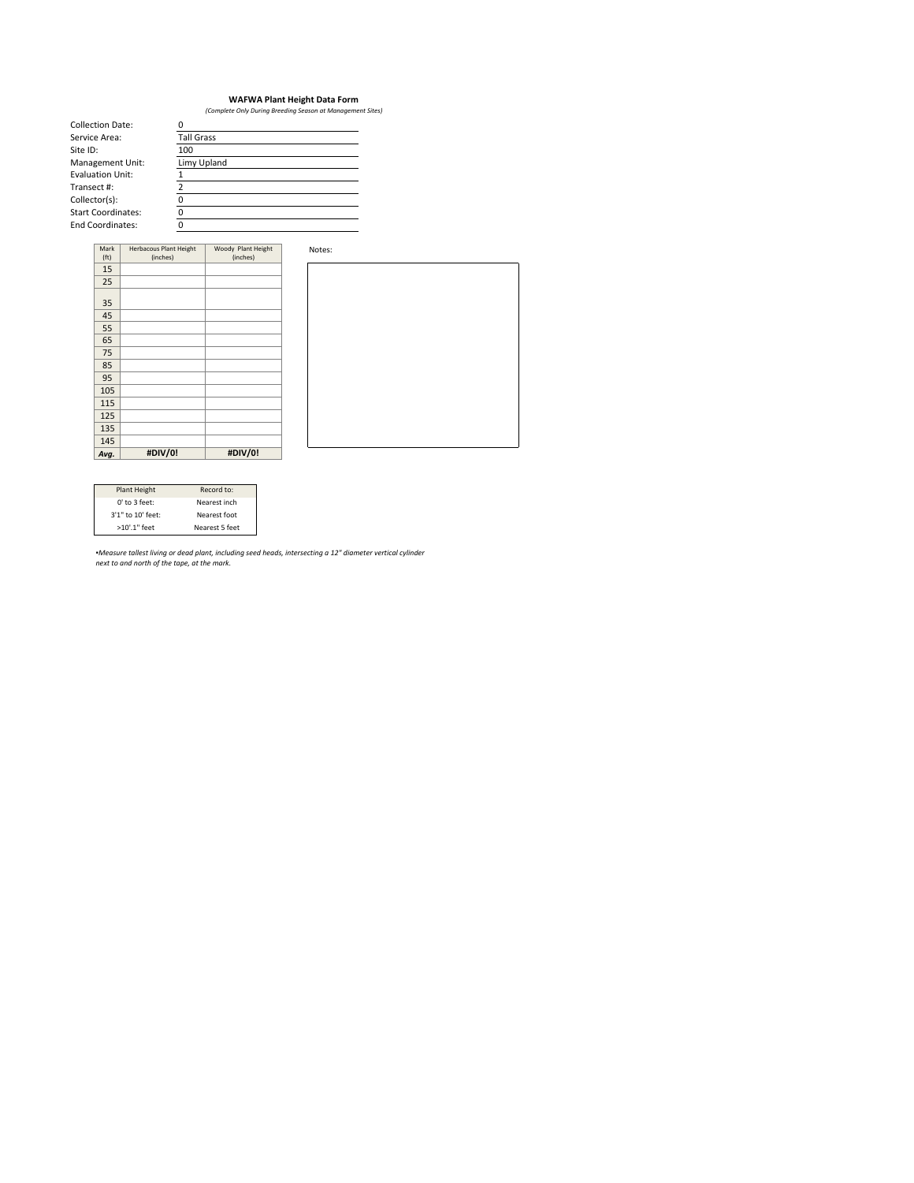# **WAFWA Plant Height Data Form**

*(Complete Only During Breeding Season at Management Sites)*

| <b>Collection Date:</b>   |                   |
|---------------------------|-------------------|
| Service Area:             | <b>Tall Grass</b> |
| Site ID:                  | 100               |
| Management Unit:          | Limy Upland       |
| <b>Evaluation Unit:</b>   |                   |
| Transect #:               |                   |
| Collector(s):             |                   |
| <b>Start Coordinates:</b> |                   |
| <b>End Coordinates:</b>   |                   |

| Mark              | <b>Herbacous Plant Height</b> | Woody Plant Height |
|-------------------|-------------------------------|--------------------|
| (f <sub>t</sub> ) | (inches)                      | (inches)           |
| 15                |                               |                    |
| 25                |                               |                    |
|                   |                               |                    |
| 35                |                               |                    |
| 45                |                               |                    |
| 55                |                               |                    |
| 65                |                               |                    |
| 75                |                               |                    |
| 85                |                               |                    |
| 95                |                               |                    |
| 105               |                               |                    |
| 115               |                               |                    |
| 125               |                               |                    |
| 135               |                               |                    |
| 145               |                               |                    |
| Avg.              | #DIV/0!                       | #DIV/0!            |

| Plant Height      | Record to:     |
|-------------------|----------------|
| $0'$ to $3$ feet: | Nearest inch   |
| 3'1" to 10' feet: | Nearest foot   |
| >10'.1" feet      | Nearest 5 feet |

•Measure tallest living or dead plant, including seed heads, intersecting a 12" diameter vertical cylinder<br>next to and north of the tape, at the mark.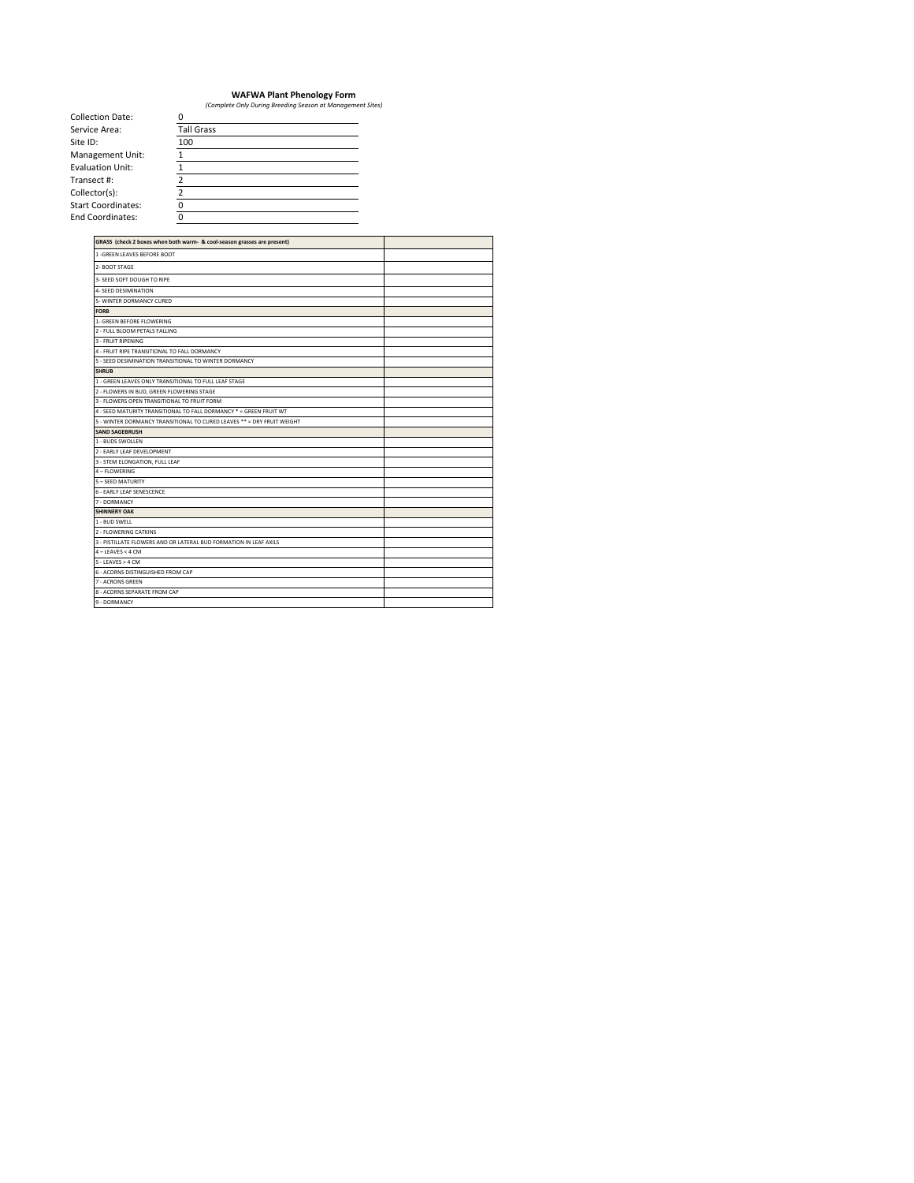### **WAFWA Plant Phenology Form**

|  |  | (Complete Only During Breeding Season at Management Sites) |  |
|--|--|------------------------------------------------------------|--|
|  |  |                                                            |  |

| <b>WAFWA Plant Phenology Form</b>                          |  |  |
|------------------------------------------------------------|--|--|
| (Complete Only During Breeding Season at Management Sites) |  |  |
|                                                            |  |  |
| <b>Tall Grass</b>                                          |  |  |
| 100                                                        |  |  |
|                                                            |  |  |
|                                                            |  |  |
|                                                            |  |  |
|                                                            |  |  |
|                                                            |  |  |
|                                                            |  |  |
|                                                            |  |  |

 $\overline{a}$ 

| GRASS (check 2 boxes when both warm- & cool-season grasses are present) |  |
|-------------------------------------------------------------------------|--|
| 1 - GREEN LEAVES BEFORE BOOT                                            |  |
| 2- BOOT STAGE                                                           |  |
| 3- SEED SOFT DOUGH TO RIPE                                              |  |
| 4- SEED DESIMINATION                                                    |  |
| 5- WINTER DORMANCY CURED                                                |  |
| <b>FORB</b>                                                             |  |
| 1- GREEN BEFORE FLOWERING                                               |  |
| 2 - FULL BLOOM PETALS FALLING                                           |  |
| 3 - FRUIT RIPENING                                                      |  |
| 4 - FRUIT RIPE TRANSITIONAL TO FALL DORMANCY                            |  |
| 5 - SEED DESIMINATION TRANSITIONAL TO WINTER DORMANCY                   |  |
| <b>SHRUB</b>                                                            |  |
| 1 - GREEN LEAVES ONLY TRANSITIONAL TO FULL LEAF STAGE                   |  |
| 2 - FLOWERS IN BUD, GREEN FLOWERING STAGE                               |  |
| 3 - FLOWERS OPEN TRANSITIONAL TO FRUIT FORM                             |  |
| 4 - SEED MATURITY TRANSITIONAL TO FALL DORMANCY * = GREEN FRUIT WT      |  |
| 5 - WINTER DORMANCY TRANSITIONAL TO CURED LEAVES ** = DRY FRUIT WEIGHT  |  |
| <b>SAND SAGEBRUSH</b>                                                   |  |
| 1 - BUDS SWOLLEN                                                        |  |
| 2 - EARLY LEAF DEVELOPMENT                                              |  |
| 3 - STEM ELONGATION, FULL LEAF                                          |  |
| 4-FLOWERING                                                             |  |
| 5 - SEED MATURITY                                                       |  |
| <b>6 - EARLY LEAF SENESCENCE</b>                                        |  |
| 7 - DORMANCY                                                            |  |
| <b>SHINNERY OAK</b>                                                     |  |
| 1 - BUD SWELL                                                           |  |
| 2 - FLOWERING CATKINS                                                   |  |
| 3 - PISTILLATE FLOWERS AND OR LATERAL BUD FORMATION IN LEAF AXILS       |  |
| $4 - LEAVES < 4 CM$                                                     |  |
| 5 - LEAVES > 4 CM                                                       |  |
| 6 - ACORNS DISTINGUISHED FROM CAP                                       |  |
| 7 - ACRONS GREEN                                                        |  |
| 8 - ACORNS SEPARATE FROM CAP                                            |  |
| 9 - DORMANCY                                                            |  |